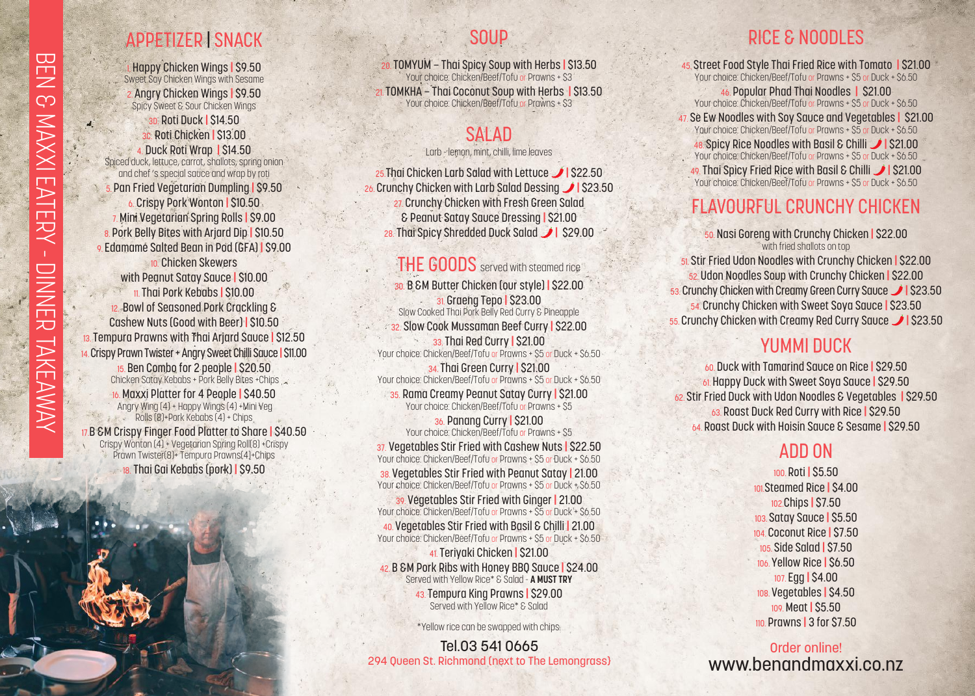# APPETIZER | SNACK

1. Happy Chicken Wings **|** \$9.50 Sweet Soy Chicken Wings with Sesame 2. Angry Chicken Wings **|** \$9.50 Spicy Sweet & Sour Chicken Wings 3D. Roti Duck **|** \$14.50 3C. Roti Chicken **|** \$13.00 4. Duck Roti Wrap **|** \$14.50 Spiced duck, lettuce, carrot, shallots, spring onion and chef 's special sauce and wrap by roti 5. Pan Fried Vegetarian Dumpling **|** \$9.50 6. Crispy Pork Wonton **|** \$10.50 7. Mini Vegetarian Spring Rolls **|** \$9.00 8. Pork Belly Bites with Arjard Dip **|** \$10.50 9. Edamame Salted Bean in Pod (GFA) **|** \$9.00 **10. Chicken Skewers** with Peanut Satay Sauce **|** \$10.00 11. Thai Pork Kebabs **|** \$10.00 12. Bowl of Seasoned Pork Crackling & Cashew Nuts (Good with Beer) **|** \$10.50 13. Tempura Prawns with Thai Arjard Sauce **|** \$12.50 14.Crispy Prawn Twister + Angry Sweet Chilli Sauce **|** \$11.00 15. Ben Combo for 2 people **|** \$20.50 Chicken Satay Kebabs + Pork Belly Bites +Chips 16. Maxxi Platter for 4 People **|** \$40.50

 Angry Wing (4) + Happy Wings (4) +Mini Veg Rolls (8)+Pork Kebabs (4) + Chips 17.B &M Crispy Finger Food Platter to Share **|** \$40.50 Crispy Wonton (4) + Vegetarian Spring Roll(8) +Crispy Prawn Twister(8)+ Tempura Prawns(4)+Chips 18. Thai Gai Kebabs (pork) **|** \$9.50

## SOUP

20. TOMYUM – Thai Spicy Soup with Herbs **|** \$13.50 Your choice: Chicken/Beef/Tofu or Prawns + \$3 21. TOMKHA – Thai Coconut Soup with Herbs **|** \$13.50 Your choice: Chicken/Beef/Tofu or Prawns + \$3

## SALAD

Larb - lemon, mint, chilli, lime leaves

25. Thai Chicken Larb Salad with Lettuce 1 \$22.50 26. Crunchy Chicken with Larb Salad Dessing 1 \$23.50 27. Crunchy Chicken with Fresh Green Salad & Peanut Satay Sauce Dressing **|** \$21.00 28. Thai Spicy Shredded Duck Salad 1 \$29.00

THE GOODS served with steamed rice 30. B &M Butter Chicken (our style) **|** \$22.00 31. Graeng Tepo **|** \$23.00 Slow Cooked Thai Pork Belly Red Curry & Pineapple 32. Slow Cook Mussaman Beef Curry **|** \$22.00 33. Thai Red Curry **|** \$21.00 Your choice: Chicken/Beef/Tofu or Prawns + \$5 or Duck + \$6.50 34. Thai Green Curry **|** \$21.00 Your choice: Chicken/Beef/Tofu or Prawns + \$5 or Duck + \$6.50 35. Rama Creamy Peanut Satay Curry **|** \$21.00 Your choice: Chicken/Beef/Tofu or Prawns + \$5

36. Panang Curry **|** \$21.00 Your choice: Chicken/Beef/Tofu or Prawns + \$5 37. Vegetables Stir Fried with Cashew Nuts **|** \$22.50 Your choice: Chicken/Beef/Tofu or Prawns + \$5 or Duck + \$6.50 38. Vegetables Stir Fried with Peanut Satay **|** 21.00 Your choice: Chicken/Beef/Tofu or Prawns + \$5 or Duck + \$6.50 39. Vegetables Stir Fried with Ginger **|** 21.00 Your choice: Chicken/Beef/Tofu or Prawns + \$5 or Duck + \$6.50 40. Vegetables Stir Fried with Basil & Chilli **|** 21.00 Your choice: Chicken/Beef/Tofu or Prawns + \$5 or Duck + \$6.50

41. Teriyaki Chicken **|** \$21.00 42. B &M Pork Ribs with Honey BBQ Sauce **|** \$24.00 Served with Yellow Rice\* & Salad - **A MUST TRY** 43. Tempura King Prawns **|** \$29.00

Served with Yellow Rice\* & Salad

\*Yellow rice can be swapped with chips.

Tel.03 541 0665 294 Queen St. Richmond (next to The Lemongrass}

## RICE & NOODLES

45. Street Food Style Thai Fried Rice with Tomato **|** \$21.00 Your choice: Chicken/Beef/Tofu or Prawns + \$5 or Duck + \$6.50 46. Popular Phad Thai Noodles **|** \$21.00 Your choice: Chicken/Beef/Tofu or Prawns + \$5 or Duck + \$6.50 47. Se Ew Noodles with Soy Sauce and Vegetables **|** \$21.00 Your choice: Chicken/Beef/Tofu or Prawns + \$5 or Duck + \$6.50 48. Spicy Rice Noodles with Basil & Chilli **|** \$21.00 Your choice: Chicken/Beef/Tofu or Prawns + \$5 or Duck + \$6.50 49. Thai Spicy Fried Rice with Basil & Chilli **|** \$21.00 Your choice: Chicken/Beef/Tofu or Prawns + \$5 or Duck + \$6.50

# FLAVOURFUL CRUNCHY CHICKEN

50. Nasi Goreng with Crunchy Chicken **|** \$22.00 with fried shallots on top 51. Stir Fried Udon Noodles with Crunchy Chicken **|** \$22.00 52. Udon Noodles Soup with Crunchy Chicken **|** \$22.00 53. Crunchy Chicken with Creamy Green Curry Sauce **|** \$23.50 54. Crunchy Chicken with Sweet Soya Sauce **|** \$23.50 55. Crunchy Chicken with Creamy Red Curry Sauce **|** \$23.50

### YUMMI DUCK

60. Duck with Tamarind Sauce on Rice **|** \$29.50 61. Happy Duck with Sweet Soya Sauce **|** \$29.50 62. Stir Fried Duck with Udon Noodles & Vegetables **|** \$29.50 63. Roast Duck Red Curry with Rice **|** \$29.50 64. Roast Duck with Hoisin Sauce & Sesame **|** \$29.50

## ADD ON

100. Roti **|** \$5.50 101.Steamed Rice **|** \$4.00 102.Chips **|** \$7.50 103. Satay Sauce **|** \$5.50 104. Coconut Rice **|** \$7.50 105. Side Salad **|** \$7.50 106. Yellow Rice **|** \$6.50 107. Egg **|** \$4.00 108. Vegetables **|** \$4.50 109. Meat **|** \$5.50 110. Prawns **|** 3 for \$7.50

Order online! www.benandmaxxi.co.nz